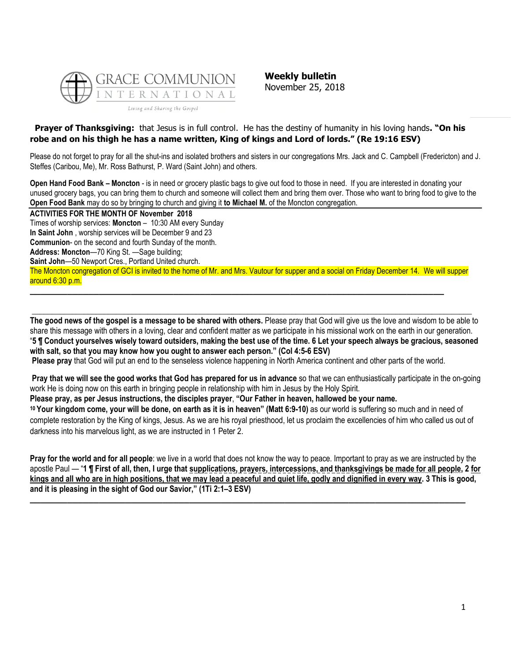

**Weekly bulletin** November 25, 2018

# **Prayer of Thanksgiving:** that Jesus is in full control. He has the destiny of humanity in his loving hands**. "On his robe and on his thigh he has a name written, King of kings and Lord of lords." (Re 19:16 ESV)**

Please do not forget to pray for all the shut-ins and isolated brothers and sisters in our congregations Mrs. Jack and C. Campbell (Fredericton) and J. Steffes (Caribou, Me), Mr. Ross Bathurst, P. Ward (Saint John) and others.

**Open Hand Food Bank – Moncton** - is in need or grocery plastic bags to give out food to those in need. If you are interested in donating your unused grocery bags, you can bring them to church and someone will collect them and bring them over. Those who want to bring food to give to the **Open Food Bank** may do so by bringing to church and giving it **to Michael M.** of the Moncton congregation.

**ACTIVITIES FOR THE MONTH OF November 2018** Times of worship services: **Moncton** – 10:30 AM every Sunday **In Saint John** , worship services will be December 9 and 23 **Communion**- on the second and fourth Sunday of the month. **Address: Moncton**—70 King St. —Sage building; **Saint John**—50 Newport Cres., Portland United church. The Moncton congregation of GCI is invited to the home of Mr. and Mrs. Vautour for supper and a social on Friday December 14. We will supper around 6:30 p.m.

**The good news of the gospel is a message to be shared with others.** Please pray that God will give us the love and wisdom to be able to share this message with others in a loving, clear and confident matter as we participate in his missional work on the earth in our generation. "**5 ¶ Conduct yourselves wisely toward outsiders, making the best use of the time. 6 Let your speech always be gracious, seasoned with salt, so that you may know how you ought to answer each person." (Col 4:5-6 ESV)**

**\_\_\_\_\_\_\_\_\_\_\_\_\_\_\_\_\_\_\_\_\_\_\_\_\_\_\_\_\_\_\_\_\_\_\_\_\_\_\_\_\_\_\_\_\_\_\_\_\_\_\_\_\_\_\_\_\_\_\_\_\_\_\_\_\_\_\_\_\_\_\_\_\_\_\_\_\_\_\_\_\_\_\_\_\_\_\_\_\_\_\_\_\_\_\_\_\_\_\_\_\_\_\_\_\_\_\_\_\_\_**

**Please pray** that God will put an end to the senseless violence happening in North America continent and other parts of the world.

**\_\_\_\_\_\_\_\_\_\_\_\_\_\_\_\_\_\_\_\_\_\_\_\_\_\_\_\_\_\_\_\_\_\_\_\_\_\_\_\_\_\_\_\_\_\_\_\_\_\_\_\_\_\_\_\_\_\_\_\_\_\_\_\_\_\_\_\_\_\_\_\_\_\_\_\_\_\_**

**Pray that we will see the good works that God has prepared for us in advance** so that we can enthusiastically participate in the on-going work He is doing now on this earth in bringing people in relationship with him in Jesus by the Holy Spirit.

**Please pray, as per Jesus instructions, the disciples prayer**, **"Our Father in heaven, hallowed be your name.**

**<sup>10</sup> Your kingdom come, your will be done, on earth as it is in heaven" (Matt 6:9-10)** as our world is suffering so much and in need of complete restoration by the King of kings, Jesus. As we are his royal priesthood, let us proclaim the excellencies of him who called us out of darkness into his marvelous light, as we are instructed in 1 Peter 2.

**Pray for the world and for all people**: we live in a world that does not know the way to peace. Important to pray as we are instructed by the apostle Paul — "**1 ¶ First of all, then, I urge that supplications, prayers, intercessions, and thanksgivings be made for all people, 2 for kings and all who are in high positions, that we may lead a peaceful and quiet life, godly and dignified in every way. 3 This is good, and it is pleasing in the sight of God our Savior," (1Ti 2:1–3 ESV)**

**\_\_\_\_\_\_\_\_\_\_\_\_\_\_\_\_\_\_\_\_\_\_\_\_\_\_\_\_\_\_\_\_\_\_\_\_\_\_\_\_\_\_\_\_\_\_\_\_\_\_\_\_\_\_\_\_\_\_\_\_\_\_\_\_\_\_\_\_\_\_\_\_\_\_\_\_\_\_\_\_\_\_**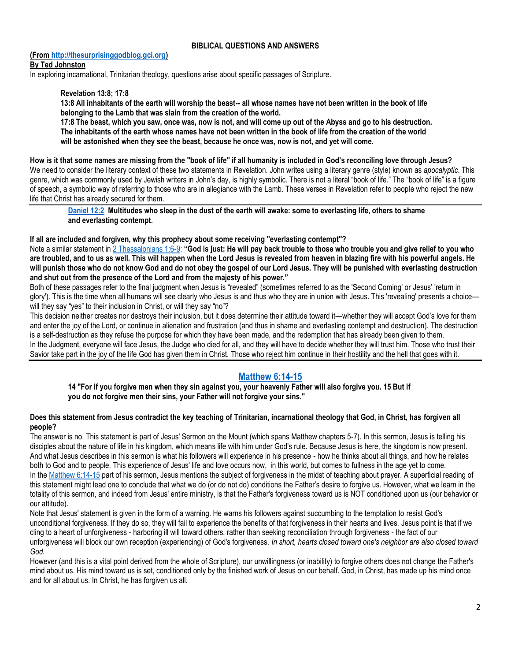### **BIBLICAL QUESTIONS AND ANSWERS**

## **(Fro[m http://thesurprisinggodblog.gci.org\)](http://thesurprisinggodblog.gci.org/)**

#### **By [Ted Johnston](https://www.blogger.com/profile/09417388691953692303)**

In exploring incarnational, Trinitarian theology, questions arise about specific passages of Scripture.

## **[Revelation 13:8;](https://biblia.com/bible/niv/Rev%2013.8) [17:8](https://biblia.com/bible/niv/Revelation%2017.8)**

**13:8 All inhabitants of the earth will worship the beast-- all whose names have not been written in the book of life belonging to the Lamb that was slain from the creation of the world.**

**17:8 The beast, which you saw, once was, now is not, and will come up out of the Abyss and go to his destruction. The inhabitants of the earth whose names have not been written in the book of life from the creation of the world will be astonished when they see the beast, because he once was, now is not, and yet will come.**

#### **How is it that some names are missing from the "book of life" if all humanity is included in God's reconciling love through Jesus?**

We need to consider the literary context of these two statements in Revelation. John writes using a literary genre (style) known as *apocalyptic*. This genre, which was commonly used by Jewish writers in John's day, is highly symbolic. There is not a literal "book of life." The "book of life" is a figure of speech, a symbolic way of referring to those who are in allegiance with the Lamb. These verses in Revelation refer to people who reject the new life that Christ has already secured for them.

**[Daniel 12:2](https://biblia.com/bible/niv/Dan%2012.2) Multitudes who sleep in the dust of the earth will awake: some to everlasting life, others to shame and everlasting contempt.**

#### **If all are included and forgiven, why this prophecy about some receiving "everlasting contempt"?**

Note a similar statement in [2 Thessalonians 1:6-9:](https://biblia.com/bible/niv/2%20Thess%201.6-9) **"God is just: He will pay back trouble to those who trouble you and give relief to you who are troubled, and to us as well. This will happen when the Lord Jesus is revealed from heaven in blazing fire with his powerful angels. He will punish those who do not know God and do not obey the gospel of our Lord Jesus. They will be punished with everlasting destruction and shut out from the presence of the Lord and from the majesty of his power."**

Both of these passages refer to the final judgment when Jesus is "revealed" (sometimes referred to as the 'Second Coming' or Jesus' 'return in glory'). This is the time when all humans will see clearly who Jesus is and thus who they are in union with Jesus. This 'revealing' presents a choice will they say "yes" to their inclusion in Christ, or will they say "no"?

This decision neither creates nor destroys their inclusion, but it does determine their attitude toward it—whether they will accept God's love for them and enter the joy of the Lord, or continue in alienation and frustration (and thus in shame and everlasting contempt and destruction). The destruction is a self-destruction as they refuse the purpose for which they have been made, and the redemption that has already been given to them. In the Judgment, everyone will face Jesus, the Judge who died for all, and they will have to decide whether they will trust him. Those who trust their Savior take part in the joy of the life God has given them in Christ. Those who reject him continue in their hostility and the hell that goes with it.

# **[Matthew 6:14-15](https://biblia.com/bible/niv/Matt%206.14-15)**

**14 "For if you forgive men when they sin against you, your heavenly Father will also forgive you. 15 But if you do not forgive men their sins, your Father will not forgive your sins."**

#### **Does this statement from Jesus contradict the key teaching of Trinitarian, incarnational theology that God, in Christ, has forgiven all people?**

The answer is no. This statement is part of Jesus' Sermon on the Mount (which spans Matthew chapters 5-7). In this sermon, Jesus is telling his disciples about the nature of life in his kingdom, which means life with him under God's rule. Because Jesus is here, the kingdom is now present. And what Jesus describes in this sermon is what his followers will experience in his presence - how he thinks about all things, and how he relates both to God and to people. This experience of Jesus' life and love occurs now, in this world, but comes to fullness in the age yet to come. In the [Matthew 6:14-15](https://biblia.com/bible/niv/Matt%206.14-15) part of his sermon, Jesus mentions the subject of forgiveness in the midst of teaching about prayer. A superficial reading of this statement might lead one to conclude that what we do (or do not do) conditions the Father's desire to forgive us. However, what we learn in the totality of this sermon, and indeed from Jesus' entire ministry, is that the Father's forgiveness toward us is NOT conditioned upon us (our behavior or our attitude).

Note that Jesus' statement is given in the form of a warning. He warns his followers against succumbing to the temptation to resist God's unconditional forgiveness. If they do so, they will fail to experience the benefits of that forgiveness in their hearts and lives. Jesus point is that if we cling to a heart of unforgiveness - harboring ill will toward others, rather than seeking reconciliation through forgiveness - the fact of our unforgiveness will block our own reception (experiencing) of God's forgiveness. *In short, hearts closed toward one's neighbor are also closed toward God.*

However (and this is a vital point derived from the whole of Scripture), our unwillingness (or inability) to forgive others does not change the Father's mind about us. His mind toward us is set, conditioned only by the finished work of Jesus on our behalf. God, in Christ, has made up his mind once and for all about us. In Christ, he has forgiven us all.